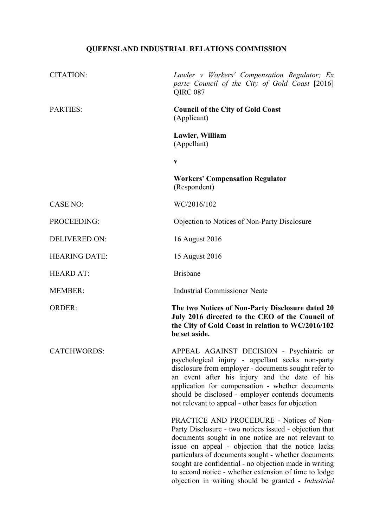# **QUEENSLAND INDUSTRIAL RELATIONS COMMISSION**

| <b>CITATION:</b>     | Lawler v Workers' Compensation Regulator; Ex<br>parte Council of the City of Gold Coast [2016]<br><b>QIRC 087</b>                                                                                                                                                                                                                                                                                                                              |
|----------------------|------------------------------------------------------------------------------------------------------------------------------------------------------------------------------------------------------------------------------------------------------------------------------------------------------------------------------------------------------------------------------------------------------------------------------------------------|
| <b>PARTIES:</b>      | <b>Council of the City of Gold Coast</b><br>(Applicant)                                                                                                                                                                                                                                                                                                                                                                                        |
|                      | Lawler, William<br>(Appellant)                                                                                                                                                                                                                                                                                                                                                                                                                 |
|                      | $\mathbf{V}$                                                                                                                                                                                                                                                                                                                                                                                                                                   |
|                      | <b>Workers' Compensation Regulator</b><br>(Respondent)                                                                                                                                                                                                                                                                                                                                                                                         |
| <b>CASE NO:</b>      | WC/2016/102                                                                                                                                                                                                                                                                                                                                                                                                                                    |
| PROCEEDING:          | Objection to Notices of Non-Party Disclosure                                                                                                                                                                                                                                                                                                                                                                                                   |
| <b>DELIVERED ON:</b> | 16 August 2016                                                                                                                                                                                                                                                                                                                                                                                                                                 |
| <b>HEARING DATE:</b> | 15 August 2016                                                                                                                                                                                                                                                                                                                                                                                                                                 |
| <b>HEARD AT:</b>     | <b>Brisbane</b>                                                                                                                                                                                                                                                                                                                                                                                                                                |
| <b>MEMBER:</b>       | <b>Industrial Commissioner Neate</b>                                                                                                                                                                                                                                                                                                                                                                                                           |
| <b>ORDER:</b>        | The two Notices of Non-Party Disclosure dated 20<br>July 2016 directed to the CEO of the Council of<br>the City of Gold Coast in relation to WC/2016/102<br>be set aside.                                                                                                                                                                                                                                                                      |
| <b>CATCHWORDS:</b>   | APPEAL AGAINST DECISION - Psychiatric or<br>psychological injury - appellant seeks non-party<br>disclosure from employer - documents sought refer to<br>an event after his injury and the date of his<br>application for compensation - whether documents<br>should be disclosed - employer contends documents<br>not relevant to appeal - other bases for objection                                                                           |
|                      | PRACTICE AND PROCEDURE - Notices of Non-<br>Party Disclosure - two notices issued - objection that<br>documents sought in one notice are not relevant to<br>issue on appeal - objection that the notice lacks<br>particulars of documents sought - whether documents<br>sought are confidential - no objection made in writing<br>to second notice - whether extension of time to lodge<br>objection in writing should be granted - Industrial |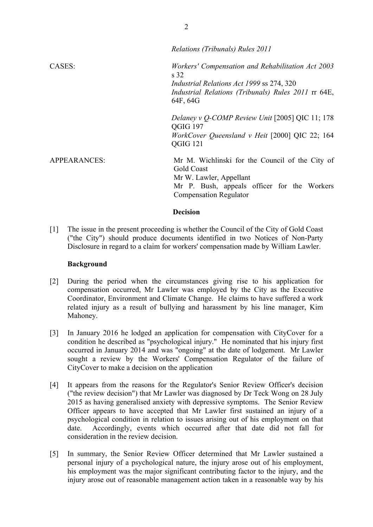|                     | Relations (Tribunals) Rules 2011                                                                                                                                                            |
|---------------------|---------------------------------------------------------------------------------------------------------------------------------------------------------------------------------------------|
| CASES:              | Workers' Compensation and Rehabilitation Act 2003<br>s <sub>32</sub><br><i>Industrial Relations Act 1999 ss 274, 320</i><br>Industrial Relations (Tribunals) Rules 2011 rr 64E,<br>64F, 64G |
|                     | Delaney v Q-COMP Review Unit $[2005]$ QIC 11; 178<br>QGIG 197<br>WorkCover Queensland v Heit [2000] QIC 22; 164<br>QGIG 121                                                                 |
| <b>APPEARANCES:</b> | Mr M. Wichlinski for the Council of the City of<br>Gold Coast<br>Mr W. Lawler, Appellant<br>Mr P. Bush, appeals officer for the Workers<br><b>Compensation Regulator</b>                    |

## **Decision**

[1] The issue in the present proceeding is whether the Council of the City of Gold Coast ("the City") should produce documents identified in two Notices of Non-Party Disclosure in regard to a claim for workers' compensation made by William Lawler.

#### **Background**

- [2] During the period when the circumstances giving rise to his application for compensation occurred, Mr Lawler was employed by the City as the Executive Coordinator, Environment and Climate Change. He claims to have suffered a work related injury as a result of bullying and harassment by his line manager, Kim Mahoney.
- [3] In January 2016 he lodged an application for compensation with CityCover for a condition he described as "psychological injury." He nominated that his injury first occurred in January 2014 and was "ongoing" at the date of lodgement. Mr Lawler sought a review by the Workers' Compensation Regulator of the failure of CityCover to make a decision on the application
- [4] It appears from the reasons for the Regulator's Senior Review Officer's decision ("the review decision") that Mr Lawler was diagnosed by Dr Teck Wong on 28 July 2015 as having generalised anxiety with depressive symptoms. The Senior Review Officer appears to have accepted that Mr Lawler first sustained an injury of a psychological condition in relation to issues arising out of his employment on that date. Accordingly, events which occurred after that date did not fall for consideration in the review decision.
- [5] In summary, the Senior Review Officer determined that Mr Lawler sustained a personal injury of a psychological nature, the injury arose out of his employment, his employment was the major significant contributing factor to the injury, and the injury arose out of reasonable management action taken in a reasonable way by his

 $\mathfrak{D}$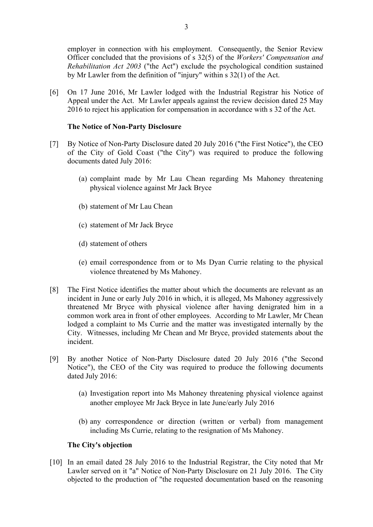employer in connection with his employment. Consequently, the Senior Review Officer concluded that the provisions of s 32(5) of the *Workers' Compensation and Rehabilitation Act 2003* ("the Act") exclude the psychological condition sustained by Mr Lawler from the definition of "injury" within s 32(1) of the Act.

[6] On 17 June 2016, Mr Lawler lodged with the Industrial Registrar his Notice of Appeal under the Act. Mr Lawler appeals against the review decision dated 25 May 2016 to reject his application for compensation in accordance with s 32 of the Act.

## **The Notice of Non-Party Disclosure**

- [7] By Notice of Non-Party Disclosure dated 20 July 2016 ("the First Notice"), the CEO of the City of Gold Coast ("the City") was required to produce the following documents dated July 2016:
	- (a) complaint made by Mr Lau Chean regarding Ms Mahoney threatening physical violence against Mr Jack Bryce
	- (b) statement of Mr Lau Chean
	- (c) statement of Mr Jack Bryce
	- (d) statement of others
	- (e) email correspondence from or to Ms Dyan Currie relating to the physical violence threatened by Ms Mahoney.
- [8] The First Notice identifies the matter about which the documents are relevant as an incident in June or early July 2016 in which, it is alleged, Ms Mahoney aggressively threatened Mr Bryce with physical violence after having denigrated him in a common work area in front of other employees. According to Mr Lawler, Mr Chean lodged a complaint to Ms Currie and the matter was investigated internally by the City. Witnesses, including Mr Chean and Mr Bryce, provided statements about the incident.
- [9] By another Notice of Non-Party Disclosure dated 20 July 2016 ("the Second Notice"), the CEO of the City was required to produce the following documents dated July 2016:
	- (a) Investigation report into Ms Mahoney threatening physical violence against another employee Mr Jack Bryce in late June/early July 2016
	- (b) any correspondence or direction (written or verbal) from management including Ms Currie, relating to the resignation of Ms Mahoney.

# **The City's objection**

[10] In an email dated 28 July 2016 to the Industrial Registrar, the City noted that Mr Lawler served on it "a" Notice of Non-Party Disclosure on 21 July 2016. The City objected to the production of "the requested documentation based on the reasoning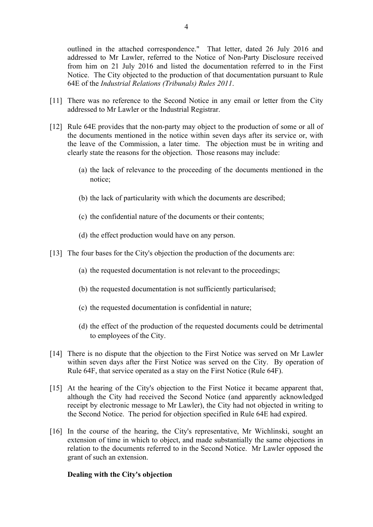outlined in the attached correspondence." That letter, dated 26 July 2016 and addressed to Mr Lawler, referred to the Notice of Non-Party Disclosure received from him on 21 July 2016 and listed the documentation referred to in the First Notice. The City objected to the production of that documentation pursuant to Rule 64E of the *Industrial Relations (Tribunals) Rules 2011*.

- [11] There was no reference to the Second Notice in any email or letter from the City addressed to Mr Lawler or the Industrial Registrar.
- [12] Rule 64E provides that the non-party may object to the production of some or all of the documents mentioned in the notice within seven days after its service or, with the leave of the Commission, a later time. The objection must be in writing and clearly state the reasons for the objection. Those reasons may include:
	- (a) the lack of relevance to the proceeding of the documents mentioned in the notice;
	- (b) the lack of particularity with which the documents are described;
	- (c) the confidential nature of the documents or their contents;
	- (d) the effect production would have on any person.
- [13] The four bases for the City's objection the production of the documents are:
	- (a) the requested documentation is not relevant to the proceedings;
	- (b) the requested documentation is not sufficiently particularised;
	- (c) the requested documentation is confidential in nature;
	- (d) the effect of the production of the requested documents could be detrimental to employees of the City.
- [14] There is no dispute that the objection to the First Notice was served on Mr Lawler within seven days after the First Notice was served on the City. By operation of Rule 64F, that service operated as a stay on the First Notice (Rule 64F).
- [15] At the hearing of the City's objection to the First Notice it became apparent that, although the City had received the Second Notice (and apparently acknowledged receipt by electronic message to Mr Lawler), the City had not objected in writing to the Second Notice. The period for objection specified in Rule 64E had expired.
- [16] In the course of the hearing, the City's representative, Mr Wichlinski, sought an extension of time in which to object, and made substantially the same objections in relation to the documents referred to in the Second Notice. Mr Lawler opposed the grant of such an extension.

## **Dealing with the City's objection**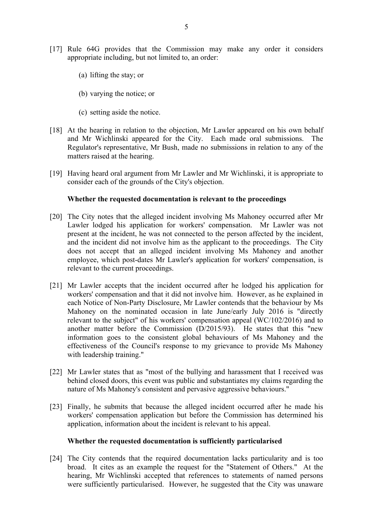- [17] Rule 64G provides that the Commission may make any order it considers appropriate including, but not limited to, an order:
	- (a) lifting the stay; or
	- (b) varying the notice; or
	- (c) setting aside the notice.
- [18] At the hearing in relation to the objection, Mr Lawler appeared on his own behalf and Mr Wichlinski appeared for the City. Each made oral submissions. The Regulator's representative, Mr Bush, made no submissions in relation to any of the matters raised at the hearing.
- [19] Having heard oral argument from Mr Lawler and Mr Wichlinski, it is appropriate to consider each of the grounds of the City's objection.

#### **Whether the requested documentation is relevant to the proceedings**

- [20] The City notes that the alleged incident involving Ms Mahoney occurred after Mr Lawler lodged his application for workers' compensation. Mr Lawler was not present at the incident, he was not connected to the person affected by the incident, and the incident did not involve him as the applicant to the proceedings. The City does not accept that an alleged incident involving Ms Mahoney and another employee, which post-dates Mr Lawler's application for workers' compensation, is relevant to the current proceedings.
- [21] Mr Lawler accepts that the incident occurred after he lodged his application for workers' compensation and that it did not involve him. However, as he explained in each Notice of Non-Party Disclosure, Mr Lawler contends that the behaviour by Ms Mahoney on the nominated occasion in late June/early July 2016 is "directly relevant to the subject" of his workers' compensation appeal (WC/102/2016) and to another matter before the Commission (D/2015/93). He states that this "new information goes to the consistent global behaviours of Ms Mahoney and the effectiveness of the Council's response to my grievance to provide Ms Mahoney with leadership training."
- [22] Mr Lawler states that as "most of the bullying and harassment that I received was behind closed doors, this event was public and substantiates my claims regarding the nature of Ms Mahoney's consistent and pervasive aggressive behaviours."
- [23] Finally, he submits that because the alleged incident occurred after he made his workers' compensation application but before the Commission has determined his application, information about the incident is relevant to his appeal.

#### **Whether the requested documentation is sufficiently particularised**

[24] The City contends that the required documentation lacks particularity and is too broad. It cites as an example the request for the "Statement of Others." At the hearing, Mr Wichlinski accepted that references to statements of named persons were sufficiently particularised. However, he suggested that the City was unaware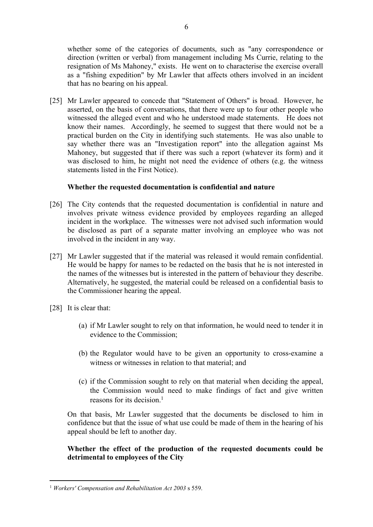whether some of the categories of documents, such as "any correspondence or direction (written or verbal) from management including Ms Currie, relating to the resignation of Ms Mahoney," exists. He went on to characterise the exercise overall as a "fishing expedition" by Mr Lawler that affects others involved in an incident that has no bearing on his appeal.

[25] Mr Lawler appeared to concede that "Statement of Others" is broad. However, he asserted, on the basis of conversations, that there were up to four other people who witnessed the alleged event and who he understood made statements. He does not know their names. Accordingly, he seemed to suggest that there would not be a practical burden on the City in identifying such statements. He was also unable to say whether there was an "Investigation report" into the allegation against Ms Mahoney, but suggested that if there was such a report (whatever its form) and it was disclosed to him, he might not need the evidence of others (e.g. the witness statements listed in the First Notice).

## **Whether the requested documentation is confidential and nature**

- [26] The City contends that the requested documentation is confidential in nature and involves private witness evidence provided by employees regarding an alleged incident in the workplace. The witnesses were not advised such information would be disclosed as part of a separate matter involving an employee who was not involved in the incident in any way.
- [27] Mr Lawler suggested that if the material was released it would remain confidential. He would be happy for names to be redacted on the basis that he is not interested in the names of the witnesses but is interested in the pattern of behaviour they describe. Alternatively, he suggested, the material could be released on a confidential basis to the Commissioner hearing the appeal.
- [28] It is clear that:
	- (a) if Mr Lawler sought to rely on that information, he would need to tender it in evidence to the Commission;
	- (b) the Regulator would have to be given an opportunity to cross-examine a witness or witnesses in relation to that material; and
	- (c) if the Commission sought to rely on that material when deciding the appeal, the Commission would need to make findings of fact and give written reasons for its decision  $<sup>1</sup>$ </sup>

On that basis, Mr Lawler suggested that the documents be disclosed to him in confidence but that the issue of what use could be made of them in the hearing of his appeal should be left to another day.

## **Whether the effect of the production of the requested documents could be detrimental to employees of the City**

<sup>1</sup> *Workers' Compensation and Rehabilitation Act 2003* s 559.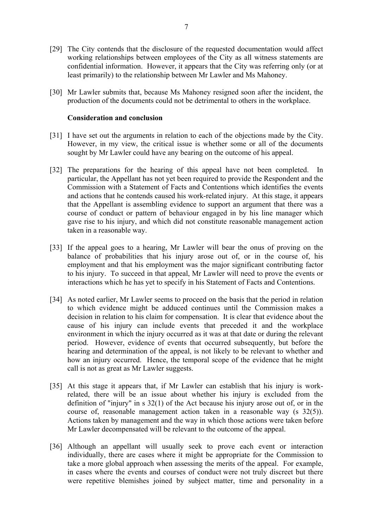- [29] The City contends that the disclosure of the requested documentation would affect working relationships between employees of the City as all witness statements are confidential information. However, it appears that the City was referring only (or at least primarily) to the relationship between Mr Lawler and Ms Mahoney.
- [30] Mr Lawler submits that, because Ms Mahoney resigned soon after the incident, the production of the documents could not be detrimental to others in the workplace.

#### **Consideration and conclusion**

- [31] I have set out the arguments in relation to each of the objections made by the City. However, in my view, the critical issue is whether some or all of the documents sought by Mr Lawler could have any bearing on the outcome of his appeal.
- [32] The preparations for the hearing of this appeal have not been completed. In particular, the Appellant has not yet been required to provide the Respondent and the Commission with a Statement of Facts and Contentions which identifies the events and actions that he contends caused his work-related injury. At this stage, it appears that the Appellant is assembling evidence to support an argument that there was a course of conduct or pattern of behaviour engaged in by his line manager which gave rise to his injury, and which did not constitute reasonable management action taken in a reasonable way.
- [33] If the appeal goes to a hearing, Mr Lawler will bear the onus of proving on the balance of probabilities that his injury arose out of, or in the course of, his employment and that his employment was the major significant contributing factor to his injury. To succeed in that appeal, Mr Lawler will need to prove the events or interactions which he has yet to specify in his Statement of Facts and Contentions.
- [34] As noted earlier, Mr Lawler seems to proceed on the basis that the period in relation to which evidence might be adduced continues until the Commission makes a decision in relation to his claim for compensation. It is clear that evidence about the cause of his injury can include events that preceded it and the workplace environment in which the injury occurred as it was at that date or during the relevant period. However, evidence of events that occurred subsequently, but before the hearing and determination of the appeal, is not likely to be relevant to whether and how an injury occurred. Hence, the temporal scope of the evidence that he might call is not as great as Mr Lawler suggests.
- [35] At this stage it appears that, if Mr Lawler can establish that his injury is workrelated, there will be an issue about whether his injury is excluded from the definition of "injury" in s 32(1) of the Act because his injury arose out of, or in the course of, reasonable management action taken in a reasonable way (s 32(5)). Actions taken by management and the way in which those actions were taken before Mr Lawler decompensated will be relevant to the outcome of the appeal.
- [36] Although an appellant will usually seek to prove each event or interaction individually, there are cases where it might be appropriate for the Commission to take a more global approach when assessing the merits of the appeal. For example, in cases where the events and courses of conduct were not truly discreet but there were repetitive blemishes joined by subject matter, time and personality in a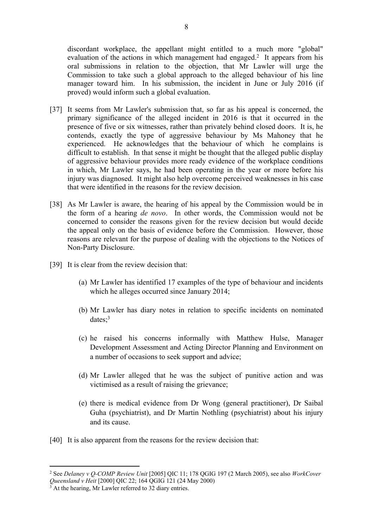discordant workplace, the appellant might entitled to a much more "global" evaluation of the actions in which management had engaged.<sup>2</sup> It appears from his oral submissions in relation to the objection, that Mr Lawler will urge the Commission to take such a global approach to the alleged behaviour of his line manager toward him. In his submission, the incident in June or July 2016 (if proved) would inform such a global evaluation.

- [37] It seems from Mr Lawler's submission that, so far as his appeal is concerned, the primary significance of the alleged incident in 2016 is that it occurred in the presence of five or six witnesses, rather than privately behind closed doors. It is, he contends, exactly the type of aggressive behaviour by Ms Mahoney that he experienced. He acknowledges that the behaviour of which he complains is difficult to establish. In that sense it might be thought that the alleged public display of aggressive behaviour provides more ready evidence of the workplace conditions in which, Mr Lawler says, he had been operating in the year or more before his injury was diagnosed. It might also help overcome perceived weaknesses in his case that were identified in the reasons for the review decision.
- [38] As Mr Lawler is aware, the hearing of his appeal by the Commission would be in the form of a hearing *de novo*. In other words, the Commission would not be concerned to consider the reasons given for the review decision but would decide the appeal only on the basis of evidence before the Commission. However, those reasons are relevant for the purpose of dealing with the objections to the Notices of Non-Party Disclosure.
- [39] It is clear from the review decision that:
	- (a) Mr Lawler has identified 17 examples of the type of behaviour and incidents which he alleges occurred since January 2014;
	- (b) Mr Lawler has diary notes in relation to specific incidents on nominated dates;<sup>3</sup>
	- (c) he raised his concerns informally with Matthew Hulse, Manager Development Assessment and Acting Director Planning and Environment on a number of occasions to seek support and advice;
	- (d) Mr Lawler alleged that he was the subject of punitive action and was victimised as a result of raising the grievance;
	- (e) there is medical evidence from Dr Wong (general practitioner), Dr Saibal Guha (psychiatrist), and Dr Martin Nothling (psychiatrist) about his injury and its cause.
- [40] It is also apparent from the reasons for the review decision that:

<sup>2</sup> See *Delaney v Q-COMP Review Unit* [2005] QIC 11; 178 QGIG 197 (2 March 2005), see also *WorkCover* 

*Queensland v Heit* [2000] QIC 22; 164 QGIG 121 (24 May 2000) 3 At the hearing, Mr Lawler referred to 32 diary entries.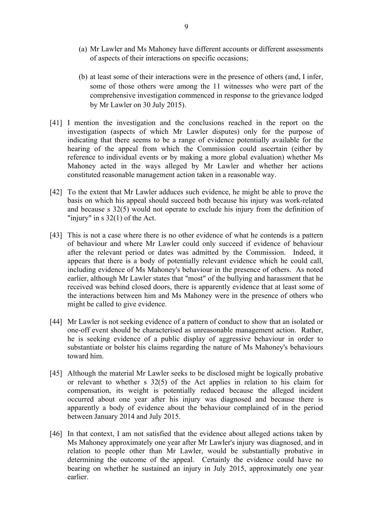- (a) Mr Lawler and Ms Mahoney have different accounts or different assessments of aspects of their interactions on specific occasions;
- (b) at least some of their interactions were in the presence of others (and, I infer, some of those others were among the 11 witnesses who were part of the comprehensive investigation commenced in response to the grievance lodged by Mr Lawler on 30 July 2015).
- [41] I mention the investigation and the conclusions reached in the report on the investigation (aspects of which Mr Lawler disputes) only for the purpose of indicating that there seems to be a range of evidence potentially available for the hearing of the appeal from which the Commission could ascertain (either by reference to individual events or by making a more global evaluation) whether Ms Mahoney acted in the ways alleged by Mr Lawler and whether her actions constituted reasonable management action taken in a reasonable way.
- [42] To the extent that Mr Lawler adduces such evidence, he might be able to prove the basis on which his appeal should succeed both because his injury was work-related and because s 32(5) would not operate to exclude his injury from the definition of "injury" in s 32(1) of the Act.
- [43] This is not a case where there is no other evidence of what he contends is a pattern of behaviour and where Mr Lawler could only succeed if evidence of behaviour after the relevant period or dates was admitted by the Commission.Indeed, it appears that there is a body of potentially relevant evidence which he could call, including evidence of Ms Mahoney's behaviour in the presence of others. As noted earlier, although Mr Lawler states that "most" of the bullying and harassment that he received was behind closed doors, there is apparently evidence that at least some of the interactions between him and Ms Mahoney were in the presence of others who might be called to give evidence.
- [44] Mr Lawler is not seeking evidence of a pattern of conduct to show that an isolated or one-off event should be characterised as unreasonable management action. Rather, he is seeking evidence of a public display of aggressive behaviour in order to substantiate or bolster his claims regarding the nature of Ms Mahoney's behaviours toward him.
- [45] Although the material Mr Lawler seeks to be disclosed might be logically probative or relevant to whether s 32(5) of the Act applies in relation to his claim for compensation, its weight is potentially reduced because the alleged incident occurred about one year after his injury was diagnosed and because there is apparently a body of evidence about the behaviour complained of in the period between January 2014 and July 2015.
- [46] In that context, I am not satisfied that the evidence about alleged actions taken by Ms Mahoney approximately one year after Mr Lawler's injury was diagnosed, and in relation to people other than Mr Lawler, would be substantially probative in determining the outcome of the appeal. Certainly the evidence could have no bearing on whether he sustained an injury in July 2015, approximately one year earlier.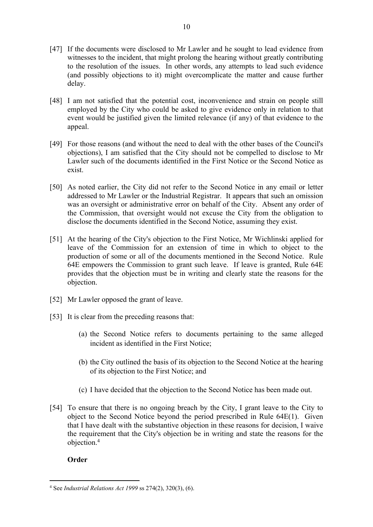- [47] If the documents were disclosed to Mr Lawler and he sought to lead evidence from witnesses to the incident, that might prolong the hearing without greatly contributing to the resolution of the issues. In other words, any attempts to lead such evidence (and possibly objections to it) might overcomplicate the matter and cause further delay.
- [48] I am not satisfied that the potential cost, inconvenience and strain on people still employed by the City who could be asked to give evidence only in relation to that event would be justified given the limited relevance (if any) of that evidence to the appeal.
- [49] For those reasons (and without the need to deal with the other bases of the Council's objections), I am satisfied that the City should not be compelled to disclose to Mr Lawler such of the documents identified in the First Notice or the Second Notice as exist.
- [50] As noted earlier, the City did not refer to the Second Notice in any email or letter addressed to Mr Lawler or the Industrial Registrar. It appears that such an omission was an oversight or administrative error on behalf of the City. Absent any order of the Commission, that oversight would not excuse the City from the obligation to disclose the documents identified in the Second Notice, assuming they exist.
- [51] At the hearing of the City's objection to the First Notice, Mr Wichlinski applied for leave of the Commission for an extension of time in which to object to the production of some or all of the documents mentioned in the Second Notice. Rule 64E empowers the Commission to grant such leave. If leave is granted, Rule 64E provides that the objection must be in writing and clearly state the reasons for the objection.
- [52] Mr Lawler opposed the grant of leave.
- [53] It is clear from the preceding reasons that:
	- (a) the Second Notice refers to documents pertaining to the same alleged incident as identified in the First Notice;
	- (b) the City outlined the basis of its objection to the Second Notice at the hearing of its objection to the First Notice; and
	- (c) I have decided that the objection to the Second Notice has been made out.
- [54] To ensure that there is no ongoing breach by the City, I grant leave to the City to object to the Second Notice beyond the period prescribed in Rule 64E(1). Given that I have dealt with the substantive objection in these reasons for decision, I waive the requirement that the City's objection be in writing and state the reasons for the objection.<sup>4</sup>

# **Order**

<sup>4</sup> See *Industrial Relations Act 1999* ss 274(2), 320(3), (6).